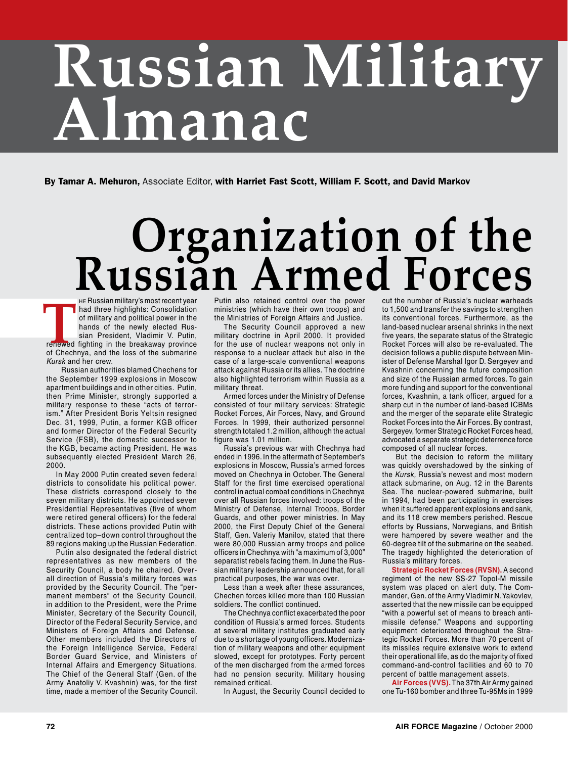# **Russian Military Almanac**

By Tamar A. Mehuron, Associate Editor, with Harriet Fast Scott, William F. Scott, and David Markov

# **Creanization of the Russian military's mostrecent vear** Putin also retained control cver the power

he Russian military's most recent year had three highlights: Consolidation of military and political power in the hands of the newly elected Russian President, Vladimir V. Putin, renewed fighting in the breakaway province of Chechnya, and the loss of the submarine *Kursk* and her crew. FR Pussian military's most recent year<br>
had three highlights: Consolidation ministries (which have their own troops) and<br>
of military and political power in the Ministries of Foreign Affairs and Justice.<br>
hands of the newl

Russian authorities blamed Chechens for the September 1999 explosions in Moscow apartment buildings and in other cities. Putin, then Prime Minister, strongly supported a military response to these "acts of terrorism." After President Boris Yeltsin resigned Dec. 31, 1999, Putin, a former KGB officer and former Director of the Federal Security Service (FSB), the domestic successor to the KGB, became acting President. He was subsequently elected President March 26, 2000.

In May 2000 Putin created seven federal districts to consolidate his political power. These districts correspond closely to the seven military districts. He appointed seven Presidential Representatives (five of whom were retired general officers) for the federal districts. These actions provided Putin with centralized top–down control throughout the 89 regions making up the Russian Federation.

Putin also designated the federal district representatives as new members of the Security Council, a body he chaired. Overall direction of Russia's military forces was provided by the Security Council. The "permanent members" of the Security Council, in addition to the President, were the Prime Minister, Secretary of the Security Council, Director of the Federal Security Service, and Ministers of Foreign Affairs and Defense. Other members included the Directors of the Foreign Intelligence Service, Federal Border Guard Service, and Ministers of Internal Affairs and Emergency Situations. The Chief of the General Staff (Gen. of the Army Anatoliy V. Kvashnin) was, for the first time, made a member of the Security Council.

ministries (which have their own troops) and the Ministries of Foreign Affairs and Justice.

The Security Council approved a new military doctrine in April 2000. It provided for the use of nuclear weapons not only in response to a nuclear attack but also in the case of a large-scale conventional weapons attack against Russia or its allies. The doctrine also highlighted terrorism within Russia as a military threat.

Armed forces under the Ministry of Defense consisted of four military services: Strategic Rocket Forces, Air Forces, Navy, and Ground Forces. In 1999, their authorized personnel strength totaled 1.2 million, although the actual figure was 1.01 million.

Russia's previous war with Chechnya had ended in 1996. In the aftermath of September's explosions in Moscow, Russia's armed forces moved on Chechnya in October. The General Staff for the first time exercised operational control in actual combat conditions in Chechnya over all Russian forces involved: troops of the Ministry of Defense, Internal Troops, Border Guards, and other power ministries. In May 2000, the First Deputy Chief of the General Staff, Gen. Valeriy Manilov, stated that there were 80,000 Russian army troops and police officers in Chechnya with "a maximum of 3,000" separatist rebels facing them. In June the Russian military leadership announced that, for all practical purposes, the war was over.

Less than a week after these assurances, Chechen forces killed more than 100 Russian soldiers. The conflict continued.

The Chechnya conflict exacerbated the poor condition of Russia's armed forces. Students at several military institutes graduated early due to a shortage of young officers. Modernization of military weapons and other equipment slowed, except for prototypes. Forty percent of the men discharged from the armed forces had no pension security. Military housing remained critical.

In August, the Security Council decided to

cut the number of Russia's nuclear warheads to 1,500 and transfer the savings to strengthen its conventional forces. Furthermore, as the land-based nuclear arsenal shrinks in the next five years, the separate status of the Strategic Rocket Forces will also be re-evaluated. The decision follows a public dispute between Minister of Defense Marshal Igor D. Sergeyev and Kvashnin concerning the future composition and size of the Russian armed forces. To gain more funding and support for the conventional forces, Kvashnin, a tank officer, argued for a sharp cut in the number of land-based ICBMs and the merger of the separate elite Strategic Rocket Forces into the Air Forces. By contrast, Sergeyev, former Strategic Rocket Forces head, advocated a separate strategic deterrence force composed of all nuclear forces.

 But the decision to reform the military was quickly overshadowed by the sinking of the *Kursk,* Russia's newest and most modern attack submarine, on Aug. 12 in the Barents Sea. The nuclear-powered submarine, built in 1994, had been participating in exercises when it suffered apparent explosions and sank, and its 118 crew members perished. Rescue efforts by Russians, Norwegians, and British were hampered by severe weather and the 60-degree tilt of the submarine on the seabed. The tragedy highlighted the deterioration of Russia's military forces.

**Strategic Rocket Forces (RVSN).** A second regiment of the new SS-27 Topol-M missile system was placed on alert duty. The Commander, Gen. of the Army Vladimir N. Yakovlev, asserted that the new missile can be equipped "with a powerful set of means to breach antimissile defense." Weapons and supporting equipment deteriorated throughout the Strategic Rocket Forces. More than 70 percent of its missiles require extensive work to extend their operational life, as do the majority of fixed command-and-control facilities and 60 to 70 percent of battle management assets.

**Air Forces (VVS).** The 37th Air Army gained one Tu-160 bomber and three Tu-95Ms in 1999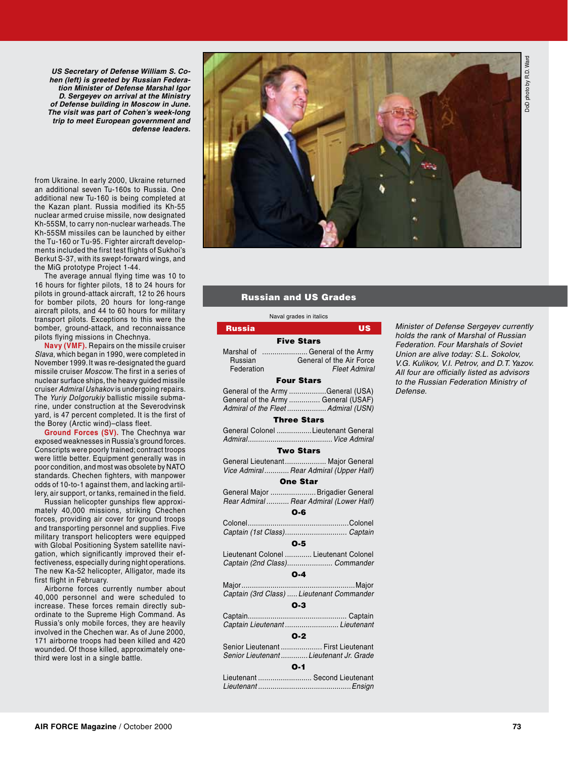**DoD** photo by R.D. Ward DoD photo by R.D. Ward

*US Secretary of Defense William S. Cohen (left) is greeted by Russian Federation Minister of Defense Marshal Igor D. Sergeyev on arrival at the Ministry of Defense building in Moscow in June. The visit was part of Cohen's week-long trip to meet European government and defense leaders.* 

from Ukraine. In early 2000, Ukraine returned an additional seven Tu-160s to Russia. One additional new Tu-160 is being completed at the Kazan plant. Russia modified its Kh-55 nuclear armed cruise missile, now designated Kh-55SM, to carry non-nuclear warheads. The Kh-55SM missiles can be launched by either the Tu-160 or Tu-95. Fighter aircraft developments included the first test flights of Sukhoi's Berkut S-37, with its swept-forward wings, and the MiG prototype Project 1-44.

The average annual flying time was 10 to 16 hours for fighter pilots, 18 to 24 hours for pilots in ground-attack aircraft, 12 to 26 hours for bomber pilots, 20 hours for long-range aircraft pilots, and 44 to 60 hours for military transport pilots. Exceptions to this were the bomber, ground-attack, and reconnaissance pilots flying missions in Chechnya.

**Navy (VMF).** Repairs on the missile cruiser *Slava,* which began in 1990, were completed in November 1999. It was re-designated the guard missile cruiser *Moscow.* The first in a series of nuclear surface ships, the heavy guided missile cruiser *Admiral Ushakov* is undergoing repairs. The *Yuriy Dolgorukiy* ballistic missile submarine, under construction at the Severodvinsk yard, is 47 percent completed. It is the first of the Borey (Arctic wind)–class fleet.

**Ground Forces (SV).** The Chechnya war exposed weaknesses in Russia's ground forces. Conscripts were poorly trained; contract troops were little better. Equipment generally was in poor condition, and most was obsolete by NATO standards. Chechen fighters, with manpower odds of 10-to-1 against them, and lacking artillery, air support, or tanks, remained in the field.

Russian helicopter gunships flew approximately 40,000 missions, striking Chechen forces, providing air cover for ground troops and transporting personnel and supplies. Five military transport helicopters were equipped with Global Positioning System satellite navigation, which significantly improved their effectiveness, especially during night operations. The new Ka-52 helicopter, Alligator, made its first flight in February.

Airborne forces currently number about 40,000 personnel and were scheduled to increase. These forces remain directly subordinate to the Supreme High Command. As Russia's only mobile forces, they are heavily involved in the Chechen war. As of June 2000, 171 airborne troops had been killed and 420 wounded. Of those killed, approximately onethird were lost in a single battle.



#### Russian and US Grades

|                       | Naval grades in italics                                                                                         |
|-----------------------|-----------------------------------------------------------------------------------------------------------------|
| <b>Russia</b>         | <b>US</b>                                                                                                       |
|                       | <b>Five Stars</b>                                                                                               |
| Russian<br>Federation | Marshal of  General of the Army<br><b>General of the Air Force</b><br><b>Fleet Admiral</b>                      |
|                       | <b>Four Stars</b>                                                                                               |
|                       | General of the Army General (USA)<br>General of the Army  General (USAF)<br>Admiral of the Fleet  Admiral (USN) |
|                       | <b>Three Stars</b>                                                                                              |
|                       | General Colonel Lieutenant General                                                                              |
|                       | <b>Two Stars</b>                                                                                                |
|                       | General Lieutenant Major General<br>Vice Admiral Rear Admiral (Upper Half)                                      |
|                       | <b>One Star</b>                                                                                                 |
|                       | General Major  Brigadier General<br>Rear Admiral  Rear Admiral (Lower Half)                                     |
|                       | O-6                                                                                                             |
|                       | Captain (1st Class) Captain                                                                                     |
|                       | $O-5$                                                                                                           |
|                       | Lieutenant Colonel  Lieutenant Colonel<br>Captain (2nd Class) Commander                                         |
|                       | $O-4$                                                                                                           |
| Major                 | .<br>Major<br>Captain (3rd Class)  Lieutenant Commander<br>$O-3$                                                |
|                       |                                                                                                                 |
|                       | Captain Lieutenant  Lieutenant<br>$O-2$                                                                         |
|                       | Senior Lieutenant  First Lieutenant                                                                             |
|                       | Senior Lieutenant  Lieutenant Jr. Grade<br>$O-1$                                                                |
|                       | Lieutenant  Second Lieutenant                                                                                   |

*Lieutenant .............................................Ensign*

*Minister of Defense Sergeyev currently holds the rank of Marshal of Russian Federation. Four Marshals of Soviet Union are alive today: S.L. Sokolov, V.G. Kulikov, V.I. Petrov, and D.T. Yazov. All four are officially listed as advisors to the Russian Federation Ministry of Defense.*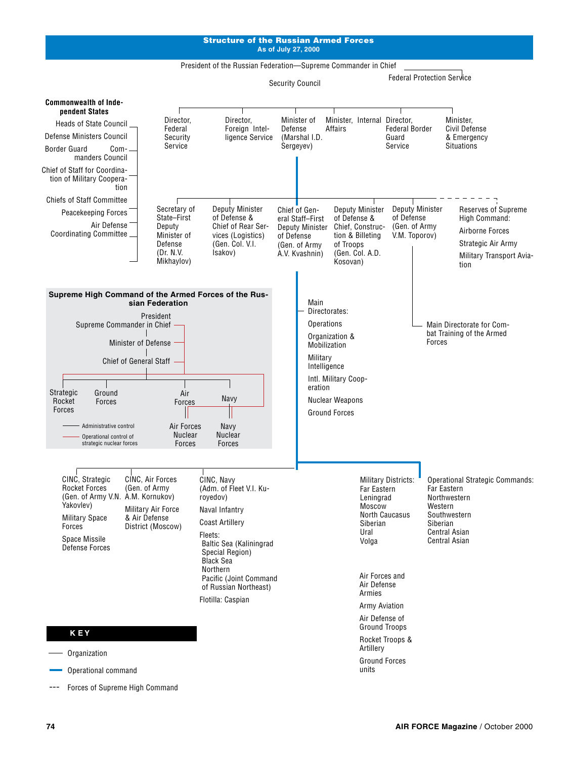#### Structure of the Russian Armed Forces **As of July 27, 2000**



Forces of Supreme High Command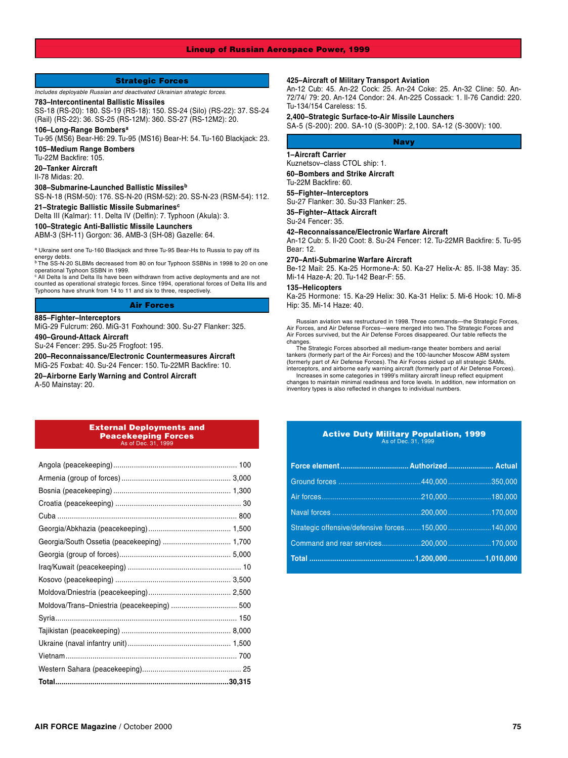#### Lineup of Russian Aerospace Power, 1999

#### Strategic Forces

*Includes deployable Russian and deactivated Ukrainian strategic forces.*

#### **783–Intercontinental Ballistic Missiles**

SS-18 (RS-20): 180. SS-19 (RS-18): 150. SS-24 (Silo) (RS-22): 37. SS-24 (Rail) (RS-22): 36. SS-25 (RS-12M): 360. SS-27 (RS-12M2): 20.

**106–Long-Range Bombers<sup>a</sup>**

Tu-95 (MS6) Bear-H6: 29. Tu-95 (MS16) Bear-H: 54. Tu-160 Blackjack: 23.

**105–Medium Range Bombers**

Tu-22M Backfire: 105.

**20–Tanker Aircraft**

Il-78 Midas: 20.

**308–Submarine-Launched Ballistic Missiles<sup>b</sup>**

SS-N-18 (RSM-50): 176. SS-N-20 (RSM-52): 20. SS-N-23 (RSM-54): 112. **21–Strategic Ballistic Missile Submarines<sup>c</sup>**

Delta III (Kalmar): 11. Delta IV (Delfin): 7. Typhoon (Akula): 3.

**100–Strategic Anti-Ballistic Missile Launchers**

ABM-3 (SH-11) Gorgon: 36. AMB-3 (SH-08) Gazelle: 64.

a Ukraine sent one Tu-160 Blackjack and three Tu-95 Bear-Hs to Russia to pay off its energy debts.<br><sup>b</sup> The SS-N-20 SLBMs decreased from 80 on four Typhoon SSBNs in 1998 to 20 on one

operational Typhoon SSBN in 1999. c All Delta Is and Delta IIs have been withdrawn from active deployments and are not

counted as operational strategic forces. Since 1994, operational forces of Delta IIIs and Typhoons have shrunk from 14 to 11 and six to three, respectively.

#### Air Forces

#### **885–Fighter–Interceptors**

MiG-29 Fulcrum: 260. MiG-31 Foxhound: 300. Su-27 Flanker: 325.

**490–Ground-Attack Aircraft**

Su-24 Fencer: 295. Su-25 Frogfoot: 195.

**200–Reconnaissance/Electronic Countermeasures Aircraft** MiG-25 Foxbat: 40. Su-24 Fencer: 150. Tu-22MR Backfire: 10.

**20–Airborne Early Warning and Control Aircraft**

A-50 Mainstay: 20.

#### External Deployments and Peacekeeping Forces As of Dec. 31

| Georgia/South Ossetia (peacekeeping)  1,700 |  |
|---------------------------------------------|--|
|                                             |  |
|                                             |  |
|                                             |  |
|                                             |  |
|                                             |  |
|                                             |  |
|                                             |  |
|                                             |  |
|                                             |  |
|                                             |  |
|                                             |  |

#### **425–Aircraft of Military Transport Aviation**

An-12 Cub: 45. An-22 Cock: 25. An-24 Coke: 25. An-32 Cline: 50. An-72/74/ 79: 20. An-124 Condor: 24. An-225 Cossack: 1. Il-76 Candid: 220. Tu-134/154 Careless: 15.

#### **2,400–Strategic Surface-to-Air Missile Launchers** SA-5 (S-200): 200. SA-10 (S-300P): 2,100. SA-12 (S-300V): 100.

Navy

#### **1–Aircraft Carrier**

Kuznetsov–class CTOL ship: 1. **60–Bombers and Strike Aircraft** Tu-22M Backfire: 60.

**55–Fighter–Interceptors**

Su-27 Flanker: 30. Su-33 Flanker: 25.

**35–Fighter–Attack Aircraft** Su-24 Fencer: 35.

**42–Reconnaissance/Electronic Warfare Aircraft**

An-12 Cub: 5. Il-20 Coot: 8. Su-24 Fencer: 12. Tu-22MR Backfire: 5. Tu-95 Bear: 12.

#### **270–Anti-Submarine Warfare Aircraft**

Be-12 Mail: 25. Ka-25 Hormone-A: 50. Ka-27 Helix-A: 85. Il-38 May: 35. Mi-14 Haze-A: 20. Tu-142 Bear-F: 55.

#### **135–Helicopters**

Ka-25 Hormone: 15. Ka-29 Helix: 30. Ka-31 Helix: 5. Mi-6 Hook: 10. Mi-8 Hip: 35. Mi-14 Haze: 40.

Russian aviation was restructured in 1998. Three commands—the Strategic Forces, Air Forces, and Air Defense Forces—were merged into two. The Strategic Forces and Air Forces survived, but the Air Defense Forces disappeared. Our table reflects the changes.

The Strategic Forces absorbed all medium-range theater bombers and aerial tankers (formerly part of the Air Forces) and the 100-launcher Moscow ABM system (formerly part of Air Defense Forces). The Air Forces picked up all strategic SAMs, interceptors, and airborne early warning aircraft (formerly part of Air Defense Forces).

Increases in some categories in 1999's military aircraft lineup reflect equipment changes to maintain minimal readiness and force levels. In addition, new information on inventory types is also reflected in changes to individual numbers.

#### Active Duty Military Population, 1999 As of Dec. 31, 1999

| Strategic offensive/defensive forces150,000140,000 |  |
|----------------------------------------------------|--|
|                                                    |  |
|                                                    |  |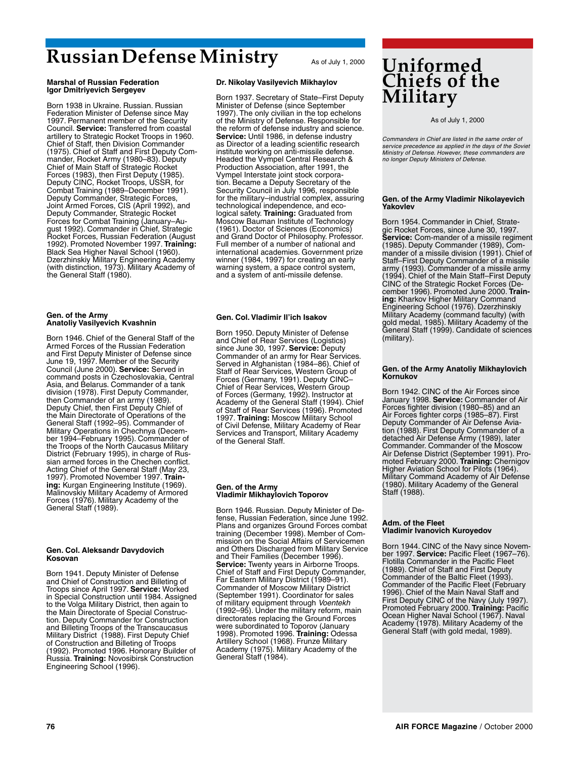## **Russian Defense Ministry** As of July 1, 2000

#### **Marshal of Russian Federation Igor Dmitriyevich Sergeyev**

Born 1938 in Ukraine. Russian. Russian Federation Minister of Defense since May 1997. Permanent member of the Security Council. **Service:** Transferred from coastal artillery to Strategic Rocket Troops in 1960. Chief of Staff, then Division Commander (1975). Chief of Staff and First Deputy Commander, Rocket Army (1980–83). Deputy Chief of Main Staff of Strategic Rocket Forces (1983), then First Deputy (1985). Deputy CINC, Rocket Troops, USSR, for Combat Training (1989–December 1991). Deputy Commander, Strategic Forces, Joint Armed Forces, CIS (April 1992), and Deputy Commander, Strategic Rocket Forces for Combat Training (January–August 1992). Commander in Chief, Strategic Rocket Forces, Russian Federation (August 1992). Promoted November 1997. **Training:** Black Sea Higher Naval School (1960). Dzerzhinskiy Military Engineering Academy (with distinction, 1973). Military Academy of the General Staff (1980).

#### **Gen. of the Army Anatoliy Vasilyevich Kvashnin**

Born 1946. Chief of the General Staff of the Armed Forces of the Russian Federation and First Deputy Minister of Defense since June 19, 1997. Member of the Security Council (June 2000). **Service:** Served in command posts in Czechoslovakia, Central Asia, and Belarus. Commander of a tank division (1978). First Deputy Commander, then Commander of an army (1989). Deputy Chief, then First Deputy Chief of the Main Directorate of Operations of the General Staff (1992–95). Commander of Military Operations in Chechnya (December 1994–February 1995). Commander of the Troops of the North Caucasus Military District (February 1995), in charge of Russian armed forces in the Chechen conflict. Acting Chief of the General Staff (May 23, 1997). Promoted November 1997. **Training:** Kurgan Engineering Institute (1969). Malinovskiy Military Academy of Armored Forces (1976). Military Academy of the General Staff (1989).

#### **Gen. Col. Aleksandr Davydovich Kosovan**

Born 1941. Deputy Minister of Defense and Chief of Construction and Billeting of Troops since April 1997. **Service:** Worked in Special Construction until 1984. Assigned to the Volga Military District, then again to the Main Directorate of Special Construction. Deputy Commander for Construction and Billeting Troops of the Transcaucasus Military District (1988). First Deputy Chief of Construction and Billeting of Troops (1992). Promoted 1996. Honorary Builder of Russia. **Training:** Novosibirsk Construction Engineering School (1996).

#### **Dr. Nikolay Vasilyevich Mikhaylov**

Born 1937. Secretary of State–First Deputy Minister of Defense (since September 1997). The only civilian in the top echelons of the Ministry of Defense. Responsible for the reform of defense industry and science. Service: Until 1986, in defense industry as Director of a leading scientific research institute working on anti-missile defense. Headed the Vympel Central Research & Production Association, after 1991, the Vympel Interstate joint stock corporation. Became a Deputy Secretary of the Security Council in July 1996, responsible for the military–industrial complex, assuring technological independence, and ecological safety. **Training:** Graduated from Moscow Bauman Institute of Technology (1961). Doctor of Sciences (Economics) and Grand Doctor of Philosophy. Professor. Full member of a number of national and international academies. Government prize winner (1984, 1997) for creating an early warning system, a space control system, and a system of anti-missile defense.

#### **Gen. Col. Vladimir Il'ich Isakov**

Born 1950. Deputy Minister of Defense and Chief of Rear Services (Logistics) since June 30, 1997. **Service:** Deputy Commander of an army for Rear Services. Served in Afghanistan (1984–86). Chief of Staff of Rear Services, Western Group of Forces (Germany, 1991). Deputy CINC– Chief of Rear Services, Western Group of Forces (Germany, 1992). Instructor at Academy of the General Staff (1994). Chief of Staff of Rear Services (1996). Promoted 1997. **Training:** Moscow Military School of Civil Defense, Military Academy of Rear Services and Transport, Military Academy of the General Staff.

#### **Gen. of the Army Vladimir Mikhaylovich Toporov**

Born 1946. Russian. Deputy Minister of Defense, Russian Federation, since June 1992. Plans and organizes Ground Forces combat training (December 1998). Member of Commission on the Social Affairs of Servicemen and Others Discharged from Military Service and Their Families (December 1996). **Service:** Twenty years in Airborne Troops. Chief of Staff and First Deputy Commander, Far Eastern Military District (1989–91). Commander of Moscow Military District (September 1991). Coordinator for sales of military equipment through *Voentekh* (1992–95). Under the military reform, main directorates replacing the Ground Forces were subordinated to Toporov (January 1998). Promoted 1996. **Training:** Odessa Artillery School (1968). Frunze Military Academy (1975). Military Academy of the General Staff (1984).

### **Uniformed Chiefs of the Military**

#### As of July 1, 2000

*Commanders in Chief are listed in the same order of service precedence as applied in the days of the Soviet Ministry of Defense. However, these commanders are no longer Deputy Ministers of Defense.*

#### **Gen. of the Army Vladimir Nikolayevich Yakovlev**

Born 1954. Commander in Chief, Strategic Rocket Forces, since June 30, 1997. **Service:** Com-mander of a missile regiment (1985). Deputy Commander (1989), Commander of a missile division (1991). Chief of Staff–First Deputy Commander of a missile army (1993). Commander of a missile army (1994). Chief of the Main Staff–First Deputy CINC of the Strategic Rocket Forces (De-cember 1996). Promoted June 2000. **Training:** Kharkov Higher Military Command Engineering School (1976). Dzerzhinskiy Military Academy (command faculty) (with gold medal, 1985). Military Academy of the General Staff (1999). Candidate of sciences (military).

#### **Gen. of the Army Anatoliy Mikhaylovich Kornukov**

Born 1942. CINC of the Air Forces since January 1998. **Service:** Commander of Air Forces fighter division (1980–85) and an Air Forces fighter corps (1985–87). First Deputy Commander of Air Defense Aviation (1988). First Deputy Commander of a detached Air Defense Army (1989), later Commander. Commander of the Moscow Air Defense District (September 1991). Promoted February 2000. **Training:** Chernigov Higher Aviation School for Pilots (1964). Military Command Academy of Air Defense (1980). Military Academy of the General Staff (1988).

#### **Adm. of the Fleet Vladimir Ivanovich Kuroyedov**

Born 1944. CINC of the Navy since Novem-ber 1997. **Service:** Pacific Fleet (1967–76). Flotilla Commander in the Pacific Fleet (1989). Chief of Staff and First Deputy Commander of the Baltic Fleet (1993). Commander of the Pacific Fleet (February 1996). Chief of the Main Naval Staff and First Deputy CINC of the Navy (July 1997). Promoted February 2000. **Training:** Pacific Ocean Higher Naval School (1967). Naval Academy (1978). Military Academy of the General Staff (with gold medal, 1989).